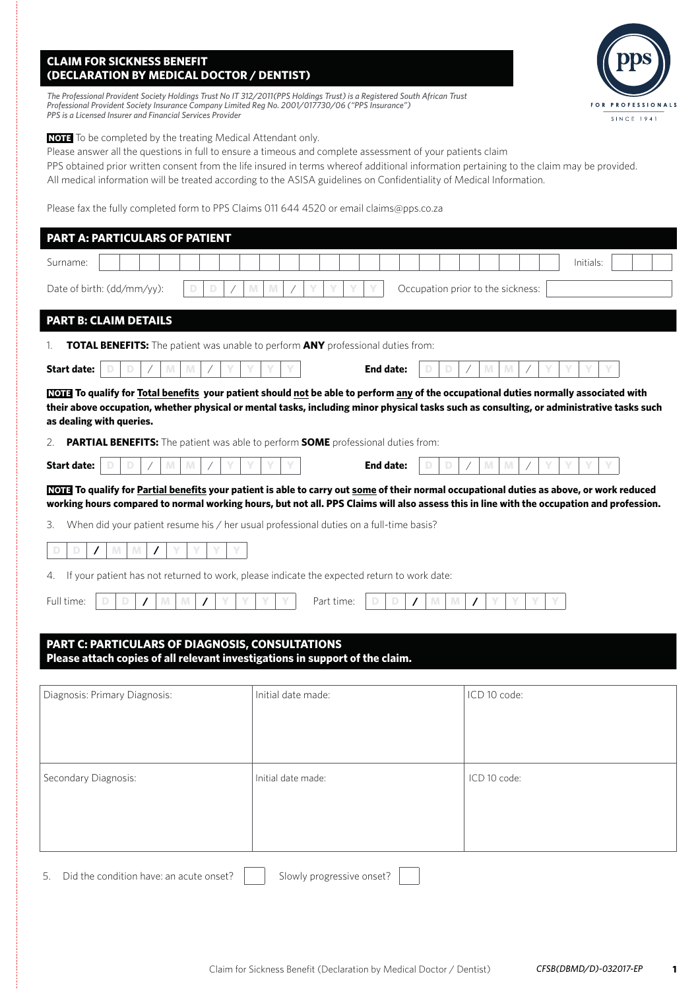## **CLAIM FOR SICKNESS BENEFIT (DECLARATION BY MEDICAL DOCTOR / DENTIST)**

*The Professional Provident Society Holdings Trust No IT 312/2011(PPS Holdings Trust) is a Registered South African Trust Professional Provident Society Insurance Company Limited Reg No. 2001/017730/06 ("PPS Insurance") PPS is a Licensed Insurer and Financial Services Provider*

**NOTE** To be completed by the treating Medical Attendant only.

Please answer all the questions in full to ensure a timeous and complete assessment of your patients claim

PPS obtained prior written consent from the life insured in terms whereof additional information pertaining to the claim may be provided. All medical information will be treated according to the ASISA guidelines on Confidentiality of Medical Information.

Please fax the fully completed form to PPS Claims 011 644 4520 or email claims@pps.co.za

| <b>PART A: PARTICULARS OF PATIENT</b>                                                                                                                                                                                                                                                                                 |                                                                                                |                                   |
|-----------------------------------------------------------------------------------------------------------------------------------------------------------------------------------------------------------------------------------------------------------------------------------------------------------------------|------------------------------------------------------------------------------------------------|-----------------------------------|
| Surname:                                                                                                                                                                                                                                                                                                              |                                                                                                | Initials:                         |
| Date of birth: (dd/mm/yy):                                                                                                                                                                                                                                                                                            | M<br>M                                                                                         | Occupation prior to the sickness: |
| <b>PART B: CLAIM DETAILS</b>                                                                                                                                                                                                                                                                                          |                                                                                                |                                   |
| TOTAL BENEFITS: The patient was unable to perform ANY professional duties from:<br>1.                                                                                                                                                                                                                                 |                                                                                                |                                   |
| <b>Start date:</b>                                                                                                                                                                                                                                                                                                    | <b>End date:</b>                                                                               | M                                 |
| <b>NOTE</b> To qualify for Total benefits your patient should not be able to perform any of the occupational duties normally associated with<br>their above occupation, whether physical or mental tasks, including minor physical tasks such as consulting, or administrative tasks such<br>as dealing with queries. |                                                                                                |                                   |
| 2.                                                                                                                                                                                                                                                                                                                    | <b>PARTIAL BENEFITS:</b> The patient was able to perform <b>SOME</b> professional duties from: |                                   |
| <b>Start date:</b><br>M<br>M                                                                                                                                                                                                                                                                                          | End date:                                                                                      | M<br>M                            |
| NOTE To qualify for Partial benefits your patient is able to carry out some of their normal occupational duties as above, or work reduced<br>working hours compared to normal working hours, but not all. PPS Claims will also assess this in line with the occupation and profession.                                |                                                                                                |                                   |
| 3.                                                                                                                                                                                                                                                                                                                    | When did your patient resume his / her usual professional duties on a full-time basis?         |                                   |
| M<br>M<br>$\prime$                                                                                                                                                                                                                                                                                                    |                                                                                                |                                   |
| 4.                                                                                                                                                                                                                                                                                                                    | If your patient has not returned to work, please indicate the expected return to work date:    |                                   |
| Full time:<br>M<br>M                                                                                                                                                                                                                                                                                                  | Part time:<br>M<br>M                                                                           |                                   |
| PART C: PARTICULARS OF DIAGNOSIS, CONSULTATIONS<br>Please attach copies of all relevant investigations in support of the claim.                                                                                                                                                                                       |                                                                                                |                                   |
| Diagnosis: Primary Diagnosis:                                                                                                                                                                                                                                                                                         | Initial date made:                                                                             | ICD 10 code:                      |

5. Did the condition have: an acute onset?  $\parallel \parallel$  Slowly progressive onset?

Secondary Diagnosis: Initial date made: ICD 10 code:

**1**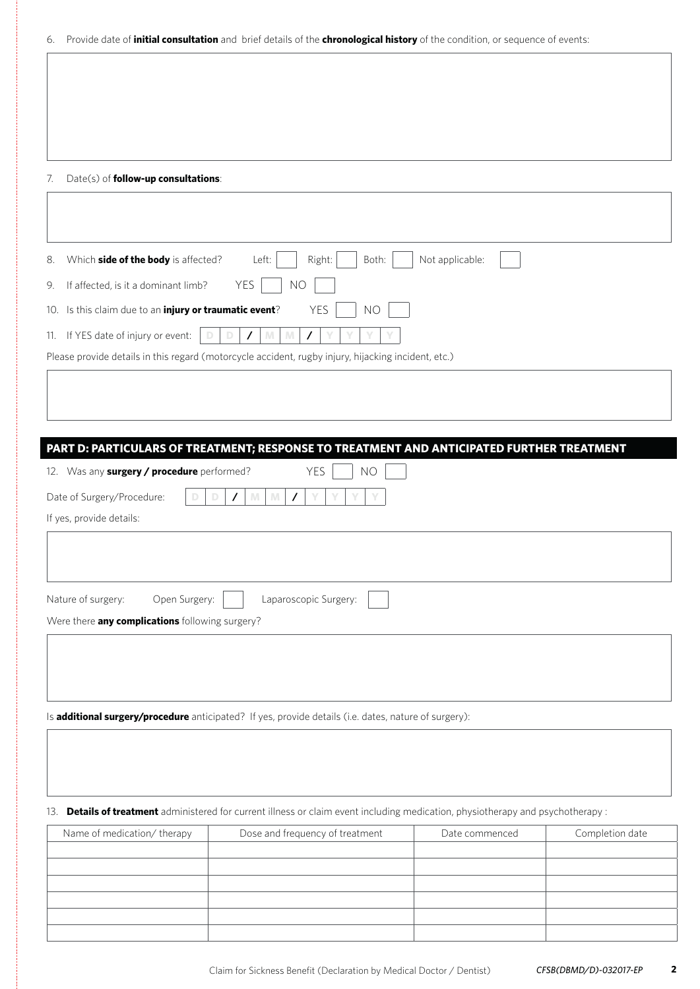|  |  |  | 6. Provide date of <i>initial consultation</i> and brief details of the <i>chronological history</i> of the condition, or sequence of events: |
|--|--|--|-----------------------------------------------------------------------------------------------------------------------------------------------|
|--|--|--|-----------------------------------------------------------------------------------------------------------------------------------------------|

#### 7. Date(s) of **follow-up consultations**:

| Not applicable:<br>Both:<br>Which side of the body is affected?<br>Left:<br>Right:<br>8.            |
|-----------------------------------------------------------------------------------------------------|
| <b>YES</b><br><b>NO</b><br>If affected, is it a dominant limb?<br>9.                                |
| Is this claim due to an injury or traumatic event?<br><b>YES</b><br><b>NO</b><br>10.                |
| If YES date of injury or event:<br>M<br>11.<br>M<br>$\prime$<br>7                                   |
| Please provide details in this regard (motorcycle accident, rugby injury, hijacking incident, etc.) |
|                                                                                                     |
|                                                                                                     |
|                                                                                                     |
| PART D: PARTICULARS OF TREATMENT; RESPONSE TO TREATMENT AND ANTICIPATED FURTHER TREATMENT           |
| YES<br>12. Was any surgery / procedure performed?<br><b>NO</b>                                      |
| Date of Surgery/Procedure:<br>M<br>M<br>$\prime$                                                    |
| If yes, provide details:                                                                            |
|                                                                                                     |
|                                                                                                     |
| Open Surgery:<br>Laparoscopic Surgery:<br>Nature of surgery:                                        |
| Were there any complications following surgery?                                                     |
|                                                                                                     |
|                                                                                                     |
|                                                                                                     |

Is **additional surgery/procedure** anticipated? If yes, provide details (i.e. dates, nature of surgery):

13. **Details of treatment** administered for current illness or claim event including medication, physiotherapy and psychotherapy :

| Name of medication/ therapy | Dose and frequency of treatment | Date commenced | Completion date |
|-----------------------------|---------------------------------|----------------|-----------------|
|                             |                                 |                |                 |
|                             |                                 |                |                 |
|                             |                                 |                |                 |
|                             |                                 |                |                 |
|                             |                                 |                |                 |
|                             |                                 |                |                 |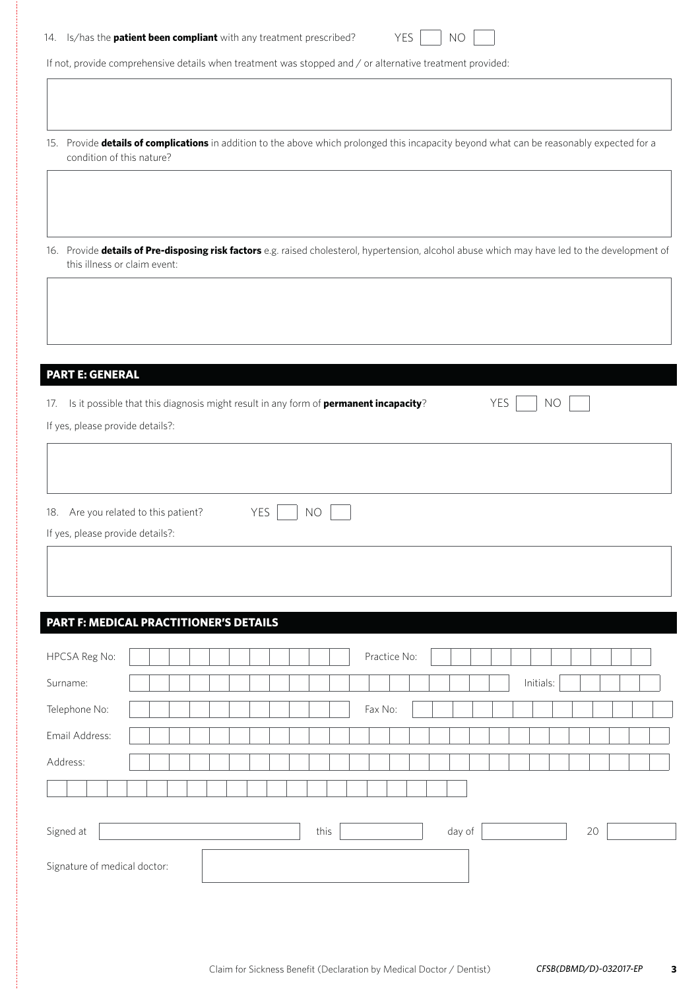|  | 14. Is/has the <b>patient been compliant</b> with any treatment prescribed? | YES     NO |  |
|--|-----------------------------------------------------------------------------|------------|--|
|--|-----------------------------------------------------------------------------|------------|--|

If not, provide comprehensive details when treatment was stopped and / or alternative treatment provided:

- 15. Provide **details of complications** in addition to the above which prolonged this incapacity beyond what can be reasonably expected for a condition of this nature?
- 16. Provide **details of Pre-disposing risk factors** e.g. raised cholesterol, hypertension, alcohol abuse which may have led to the development of this illness or claim event:

#### **PART E: GENERAL**

|  | 17. Is it possible that this diagnosis might result in any form of <b>permanent incapacity</b> ? | YES   NO |  |  |
|--|--------------------------------------------------------------------------------------------------|----------|--|--|
|--|--------------------------------------------------------------------------------------------------|----------|--|--|

If yes, please provide details?:

| 18. Are you related to this patient? | YES   NO |
|--------------------------------------|----------|
| If yes, please provide details?:     |          |

# **PART F: MEDICAL PRACTITIONER'S DETAILS**

| HPCSA Reg No:                |  |  |  |  |  |  |      | Practice No: |  |        |  |           |    |  |  |
|------------------------------|--|--|--|--|--|--|------|--------------|--|--------|--|-----------|----|--|--|
| Surname:                     |  |  |  |  |  |  |      |              |  |        |  | Initials: |    |  |  |
| Telephone No:                |  |  |  |  |  |  |      | Fax No:      |  |        |  |           |    |  |  |
| Email Address:               |  |  |  |  |  |  |      |              |  |        |  |           |    |  |  |
| Address:                     |  |  |  |  |  |  |      |              |  |        |  |           |    |  |  |
|                              |  |  |  |  |  |  |      |              |  |        |  |           |    |  |  |
|                              |  |  |  |  |  |  |      |              |  |        |  |           |    |  |  |
| Signed at                    |  |  |  |  |  |  | this |              |  | day of |  |           | 20 |  |  |
| Signature of medical doctor: |  |  |  |  |  |  |      |              |  |        |  |           |    |  |  |